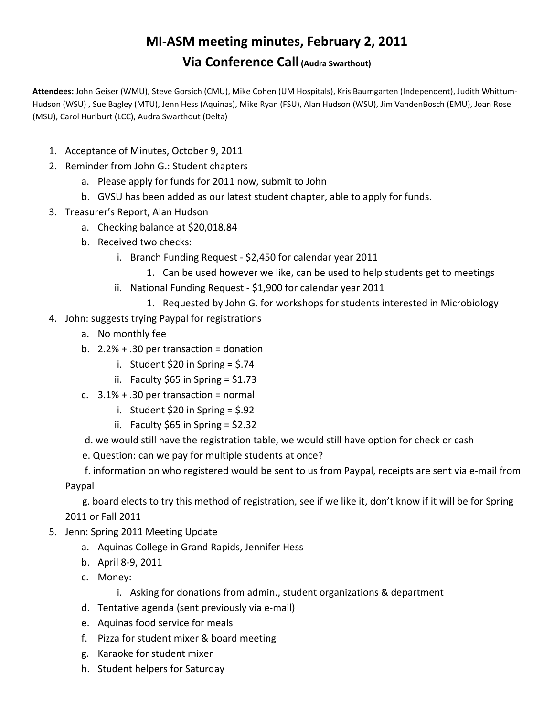## **MI‐ASM meeting minutes, February 2, 2011 Via Conference Call (Audra Swarthout)**

**Attendees:** John Geiser (WMU), Steve Gorsich (CMU), Mike Cohen (UM Hospitals), Kris Baumgarten (Independent), Judith Whittum‐ Hudson (WSU) , Sue Bagley (MTU), Jenn Hess (Aquinas), Mike Ryan (FSU), Alan Hudson (WSU), Jim VandenBosch (EMU), Joan Rose (MSU), Carol Hurlburt (LCC), Audra Swarthout (Delta)

- 1. Acceptance of Minutes, October 9, 2011
- 2. Reminder from John G.: Student chapters
	- a. Please apply for funds for 2011 now, submit to John
	- b. GVSU has been added as our latest student chapter, able to apply for funds.
- 3. Treasurer's Report, Alan Hudson
	- a. Checking balance at \$20,018.84
	- b. Received two checks:
		- i. Branch Funding Request ‐ \$2,450 for calendar year 2011
			- 1. Can be used however we like, can be used to help students get to meetings
		- ii. National Funding Request \$1,900 for calendar year 2011
			- 1. Requested by John G. for workshops for students interested in Microbiology
- 4. John: suggests trying Paypal for registrations
	- a. No monthly fee
	- b.  $2.2% + .30$  per transaction = donation
		- i. Student \$20 in Spring = \$.74
		- ii. Faculty  $$65$  in Spring =  $$1.73$
	- c.  $3.1\% + .30$  per transaction = normal
		- i. Student \$20 in Spring  $=$  \$.92
		- ii. Faculty \$65 in Spring =  $$2.32$

d. we would still have the registration table, we would still have option for check or cash

e. Question: can we pay for multiple students at once?

 f. information on who registered would be sent to us from Paypal, receipts are sent via e‐mail from Paypal

 g. board elects to try this method of registration, see if we like it, don't know if it will be for Spring 2011 or Fall 2011

- 5. Jenn: Spring 2011 Meeting Update
	- a. Aquinas College in Grand Rapids, Jennifer Hess
	- b. April 8‐9, 2011
	- c. Money:
		- i. Asking for donations from admin., student organizations & department
	- d. Tentative agenda (sent previously via e‐mail)
	- e. Aquinas food service for meals
	- f. Pizza for student mixer & board meeting
	- g. Karaoke for student mixer
	- h. Student helpers for Saturday